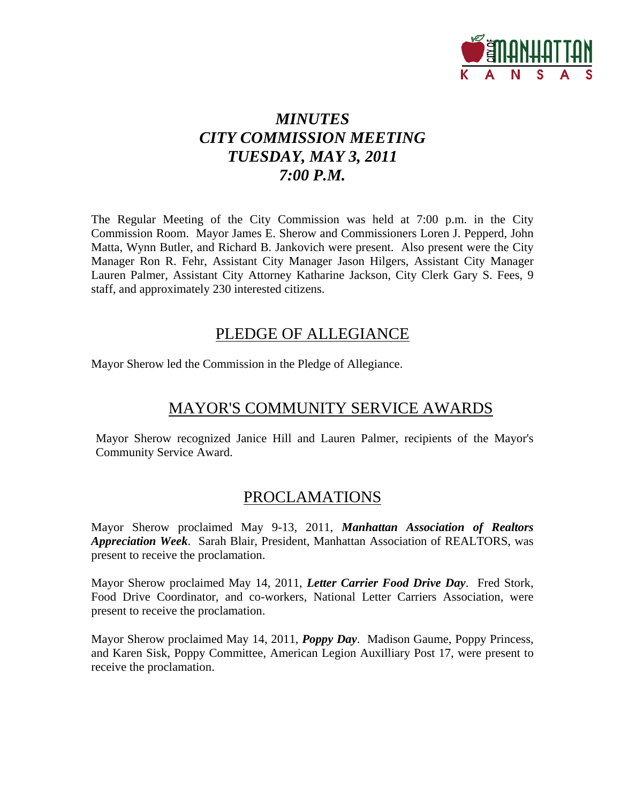

# *MINUTES CITY COMMISSION MEETING TUESDAY, MAY 3, 2011 7:00 P.M.*

The Regular Meeting of the City Commission was held at 7:00 p.m. in the City Commission Room. Mayor James E. Sherow and Commissioners Loren J. Pepperd, John Matta, Wynn Butler, and Richard B. Jankovich were present. Also present were the City Manager Ron R. Fehr, Assistant City Manager Jason Hilgers, Assistant City Manager Lauren Palmer, Assistant City Attorney Katharine Jackson, City Clerk Gary S. Fees, 9 staff, and approximately 230 interested citizens.

### PLEDGE OF ALLEGIANCE

Mayor Sherow led the Commission in the Pledge of Allegiance.

### MAYOR'S COMMUNITY SERVICE AWARDS

Mayor Sherow recognized Janice Hill and Lauren Palmer, recipients of the Mayor's Community Service Award.

### PROCLAMATIONS

Mayor Sherow proclaimed May 9-13, 2011, *Manhattan Association of Realtors Appreciation Week*. Sarah Blair, President, Manhattan Association of REALTORS, was present to receive the proclamation.

Mayor Sherow proclaimed May 14, 2011, *Letter Carrier Food Drive Day*. Fred Stork, Food Drive Coordinator, and co-workers, National Letter Carriers Association, were present to receive the proclamation.

Mayor Sherow proclaimed May 14, 2011, *Poppy Day*. Madison Gaume, Poppy Princess, and Karen Sisk, Poppy Committee, American Legion Auxilliary Post 17, were present to receive the proclamation.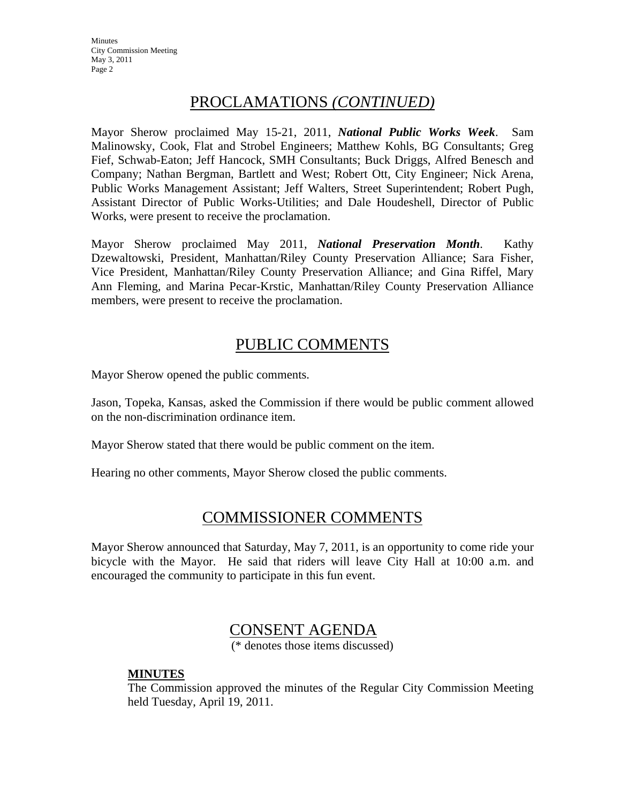**Minutes** City Commission Meeting May 3, 2011 Page 2

### PROCLAMATIONS *(CONTINUED)*

Mayor Sherow proclaimed May 15-21, 2011, *National Public Works Week*. Sam Malinowsky, Cook, Flat and Strobel Engineers; Matthew Kohls, BG Consultants; Greg Fief, Schwab-Eaton; Jeff Hancock, SMH Consultants; Buck Driggs, Alfred Benesch and Company; Nathan Bergman, Bartlett and West; Robert Ott, City Engineer; Nick Arena, Public Works Management Assistant; Jeff Walters, Street Superintendent; Robert Pugh, Assistant Director of Public Works-Utilities; and Dale Houdeshell, Director of Public Works, were present to receive the proclamation.

Mayor Sherow proclaimed May 2011, *National Preservation Month*. Kathy Dzewaltowski, President, Manhattan/Riley County Preservation Alliance; Sara Fisher, Vice President, Manhattan/Riley County Preservation Alliance; and Gina Riffel, Mary Ann Fleming, and Marina Pecar-Krstic, Manhattan/Riley County Preservation Alliance members, were present to receive the proclamation.

### PUBLIC COMMENTS

Mayor Sherow opened the public comments.

Jason, Topeka, Kansas, asked the Commission if there would be public comment allowed on the non-discrimination ordinance item.

Mayor Sherow stated that there would be public comment on the item.

Hearing no other comments, Mayor Sherow closed the public comments.

### COMMISSIONER COMMENTS

Mayor Sherow announced that Saturday, May 7, 2011, is an opportunity to come ride your bicycle with the Mayor. He said that riders will leave City Hall at 10:00 a.m. and encouraged the community to participate in this fun event.

### CONSENT AGENDA

(\* denotes those items discussed)

#### **MINUTES**

The Commission approved the minutes of the Regular City Commission Meeting held Tuesday, April 19, 2011.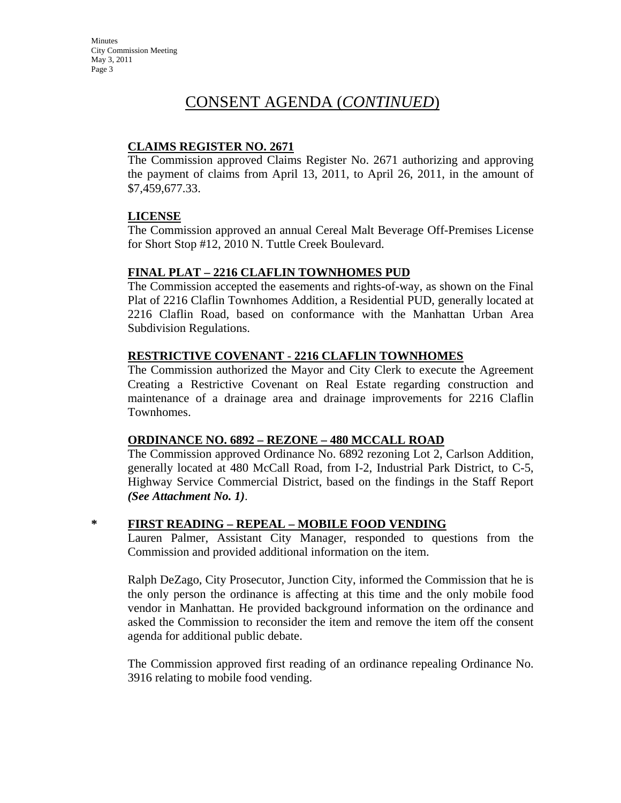#### **CLAIMS REGISTER NO. 2671**

The Commission approved Claims Register No. 2671 authorizing and approving the payment of claims from April 13, 2011, to April 26, 2011, in the amount of \$7,459,677.33.

#### **LICENSE**

The Commission approved an annual Cereal Malt Beverage Off-Premises License for Short Stop #12, 2010 N. Tuttle Creek Boulevard.

### **FINAL PLAT – 2216 CLAFLIN TOWNHOMES PUD**

The Commission accepted the easements and rights-of-way, as shown on the Final Plat of 2216 Claflin Townhomes Addition, a Residential PUD, generally located at 2216 Claflin Road, based on conformance with the Manhattan Urban Area Subdivision Regulations.

#### **RESTRICTIVE COVENANT** - **2216 CLAFLIN TOWNHOMES**

The Commission authorized the Mayor and City Clerk to execute the Agreement Creating a Restrictive Covenant on Real Estate regarding construction and maintenance of a drainage area and drainage improvements for 2216 Claflin Townhomes.

#### **ORDINANCE NO. 6892 – REZONE – 480 MCCALL ROAD**

The Commission approved Ordinance No. 6892 rezoning Lot 2, Carlson Addition, generally located at 480 McCall Road, from I-2, Industrial Park District, to C-5, Highway Service Commercial District, based on the findings in the Staff Report *(See Attachment No. 1)*.

### **\* FIRST READING – REPEAL – MOBILE FOOD VENDING**

Lauren Palmer, Assistant City Manager, responded to questions from the Commission and provided additional information on the item.

Ralph DeZago, City Prosecutor, Junction City, informed the Commission that he is the only person the ordinance is affecting at this time and the only mobile food vendor in Manhattan. He provided background information on the ordinance and asked the Commission to reconsider the item and remove the item off the consent agenda for additional public debate.

The Commission approved first reading of an ordinance repealing Ordinance No. 3916 relating to mobile food vending.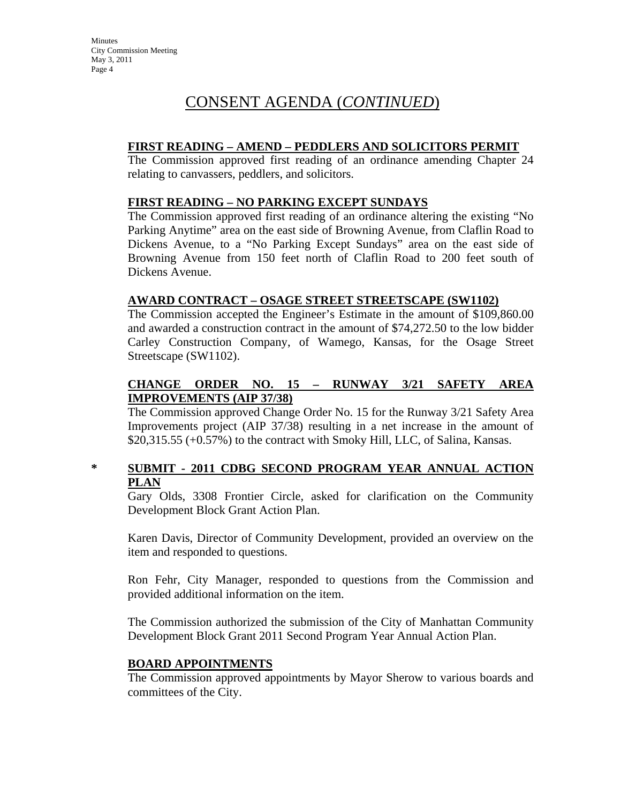#### **FIRST READING – AMEND – PEDDLERS AND SOLICITORS PERMIT**

The Commission approved first reading of an ordinance amending Chapter 24 relating to canvassers, peddlers, and solicitors.

#### **FIRST READING – NO PARKING EXCEPT SUNDAYS**

The Commission approved first reading of an ordinance altering the existing "No Parking Anytime" area on the east side of Browning Avenue, from Claflin Road to Dickens Avenue, to a "No Parking Except Sundays" area on the east side of Browning Avenue from 150 feet north of Claflin Road to 200 feet south of Dickens Avenue.

#### **AWARD CONTRACT – OSAGE STREET STREETSCAPE (SW1102)**

The Commission accepted the Engineer's Estimate in the amount of \$109,860.00 and awarded a construction contract in the amount of \$74,272.50 to the low bidder Carley Construction Company, of Wamego, Kansas, for the Osage Street Streetscape (SW1102).

#### **CHANGE ORDER NO. 15 – RUNWAY 3/21 SAFETY AREA IMPROVEMENTS (AIP 37/38)**

The Commission approved Change Order No. 15 for the Runway 3/21 Safety Area Improvements project (AIP 37/38) resulting in a net increase in the amount of \$20,315.55 (+0.57%) to the contract with Smoky Hill, LLC, of Salina, Kansas.

#### **\* SUBMIT - 2011 CDBG SECOND PROGRAM YEAR ANNUAL ACTION PLAN**

Gary Olds, 3308 Frontier Circle, asked for clarification on the Community Development Block Grant Action Plan.

Karen Davis, Director of Community Development, provided an overview on the item and responded to questions.

Ron Fehr, City Manager, responded to questions from the Commission and provided additional information on the item.

The Commission authorized the submission of the City of Manhattan Community Development Block Grant 2011 Second Program Year Annual Action Plan.

#### **BOARD APPOINTMENTS**

The Commission approved appointments by Mayor Sherow to various boards and committees of the City.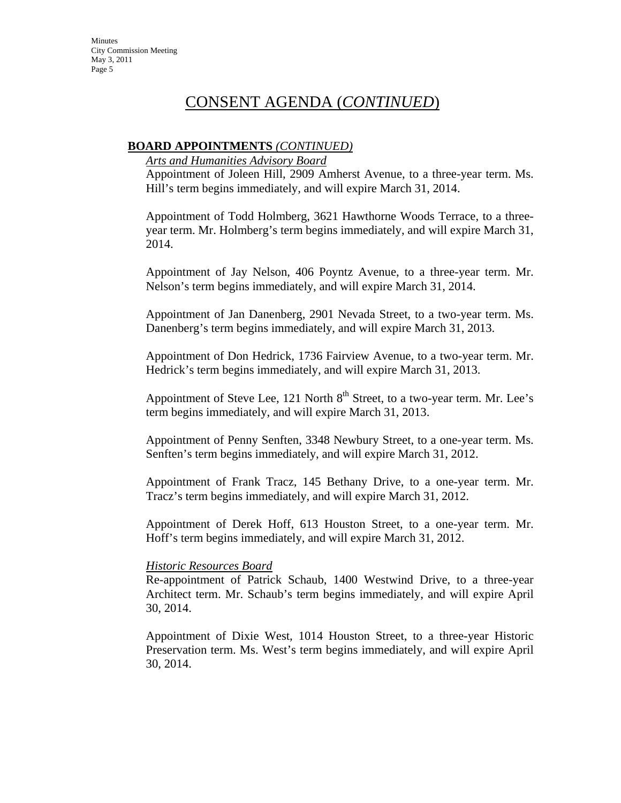#### **BOARD APPOINTMENTS** *(CONTINUED)*

*Arts and Humanities Advisory Board*

Appointment of Joleen Hill, 2909 Amherst Avenue, to a three-year term. Ms. Hill's term begins immediately, and will expire March 31, 2014.

Appointment of Todd Holmberg, 3621 Hawthorne Woods Terrace, to a threeyear term. Mr. Holmberg's term begins immediately, and will expire March 31, 2014.

Appointment of Jay Nelson, 406 Poyntz Avenue, to a three-year term. Mr. Nelson's term begins immediately, and will expire March 31, 2014.

Appointment of Jan Danenberg, 2901 Nevada Street, to a two-year term. Ms. Danenberg's term begins immediately, and will expire March 31, 2013.

Appointment of Don Hedrick, 1736 Fairview Avenue, to a two-year term. Mr. Hedrick's term begins immediately, and will expire March 31, 2013.

Appointment of Steve Lee, 121 North  $8<sup>th</sup>$  Street, to a two-year term. Mr. Lee's term begins immediately, and will expire March 31, 2013.

Appointment of Penny Senften, 3348 Newbury Street, to a one-year term. Ms. Senften's term begins immediately, and will expire March 31, 2012.

Appointment of Frank Tracz, 145 Bethany Drive, to a one-year term. Mr. Tracz's term begins immediately, and will expire March 31, 2012.

Appointment of Derek Hoff, 613 Houston Street, to a one-year term. Mr. Hoff's term begins immediately, and will expire March 31, 2012.

#### *Historic Resources Board*

Re-appointment of Patrick Schaub, 1400 Westwind Drive, to a three-year Architect term. Mr. Schaub's term begins immediately, and will expire April 30, 2014.

Appointment of Dixie West, 1014 Houston Street, to a three-year Historic Preservation term. Ms. West's term begins immediately, and will expire April 30, 2014.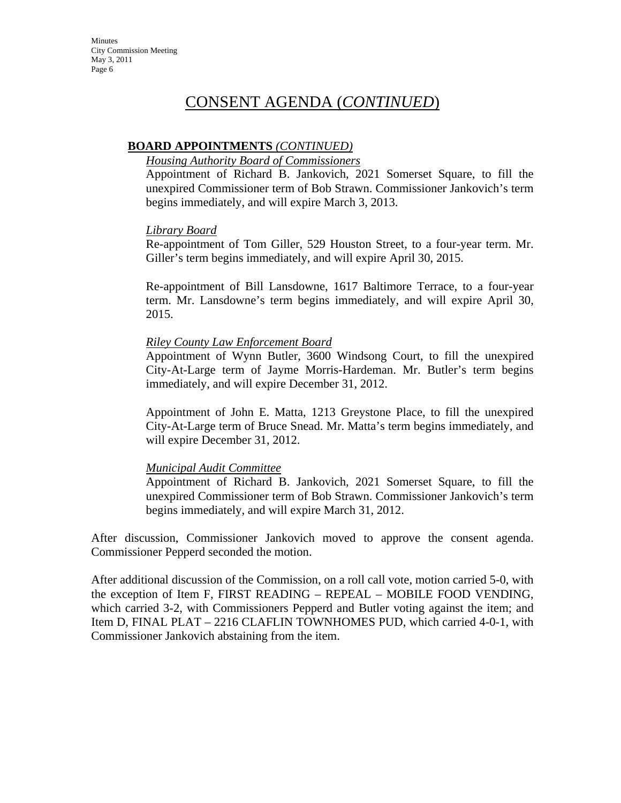#### **BOARD APPOINTMENTS** *(CONTINUED)*

#### *Housing Authority Board of Commissioners*

Appointment of Richard B. Jankovich, 2021 Somerset Square, to fill the unexpired Commissioner term of Bob Strawn. Commissioner Jankovich's term begins immediately, and will expire March 3, 2013.

#### *Library Board*

Re-appointment of Tom Giller, 529 Houston Street, to a four-year term. Mr. Giller's term begins immediately, and will expire April 30, 2015.

Re-appointment of Bill Lansdowne, 1617 Baltimore Terrace, to a four-year term. Mr. Lansdowne's term begins immediately, and will expire April 30, 2015.

#### *Riley County Law Enforcement Board*

Appointment of Wynn Butler, 3600 Windsong Court, to fill the unexpired City-At-Large term of Jayme Morris-Hardeman. Mr. Butler's term begins immediately, and will expire December 31, 2012.

Appointment of John E. Matta, 1213 Greystone Place, to fill the unexpired City-At-Large term of Bruce Snead. Mr. Matta's term begins immediately, and will expire December 31, 2012.

#### *Municipal Audit Committee*

Appointment of Richard B. Jankovich, 2021 Somerset Square, to fill the unexpired Commissioner term of Bob Strawn. Commissioner Jankovich's term begins immediately, and will expire March 31, 2012.

After discussion, Commissioner Jankovich moved to approve the consent agenda. Commissioner Pepperd seconded the motion.

After additional discussion of the Commission, on a roll call vote, motion carried 5-0, with the exception of Item F, FIRST READING – REPEAL – MOBILE FOOD VENDING, which carried 3-2, with Commissioners Pepperd and Butler voting against the item; and Item D, FINAL PLAT – 2216 CLAFLIN TOWNHOMES PUD, which carried 4-0-1, with Commissioner Jankovich abstaining from the item.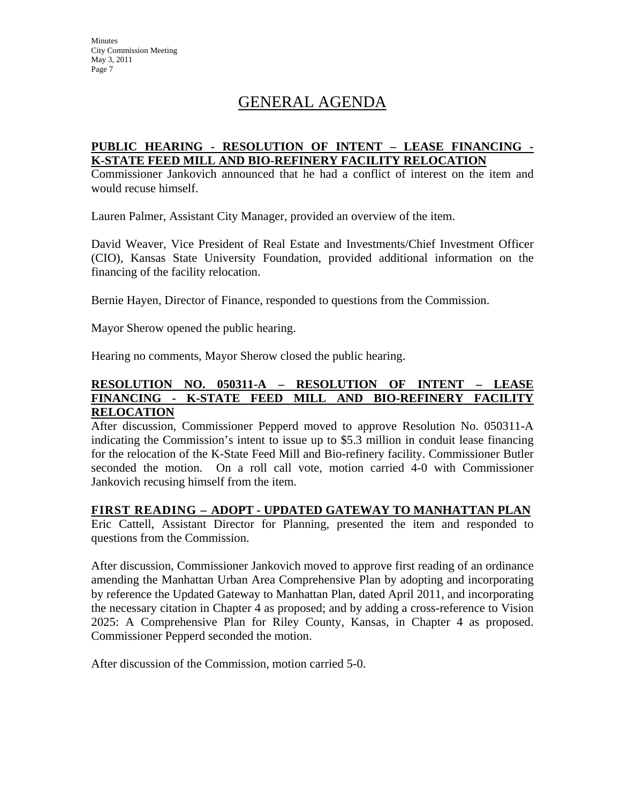# GENERAL AGENDA

#### **PUBLIC HEARING - RESOLUTION OF INTENT – LEASE FINANCING - K-STATE FEED MILL AND BIO-REFINERY FACILITY RELOCATION**

Commissioner Jankovich announced that he had a conflict of interest on the item and would recuse himself.

Lauren Palmer, Assistant City Manager, provided an overview of the item.

David Weaver, Vice President of Real Estate and Investments/Chief Investment Officer (CIO), Kansas State University Foundation, provided additional information on the financing of the facility relocation.

Bernie Hayen, Director of Finance, responded to questions from the Commission.

Mayor Sherow opened the public hearing.

Hearing no comments, Mayor Sherow closed the public hearing.

#### **RESOLUTION NO. 050311-A – RESOLUTION OF INTENT – LEASE FINANCING - K-STATE FEED MILL AND BIO-REFINERY FACILITY RELOCATION**

After discussion, Commissioner Pepperd moved to approve Resolution No. 050311-A indicating the Commission's intent to issue up to \$5.3 million in conduit lease financing for the relocation of the K-State Feed Mill and Bio-refinery facility. Commissioner Butler seconded the motion. On a roll call vote, motion carried 4-0 with Commissioner Jankovich recusing himself from the item.

#### **FIRST READING – ADOPT - UPDATED GATEWAY TO MANHATTAN PLAN**

Eric Cattell, Assistant Director for Planning, presented the item and responded to questions from the Commission.

After discussion, Commissioner Jankovich moved to approve first reading of an ordinance amending the Manhattan Urban Area Comprehensive Plan by adopting and incorporating by reference the Updated Gateway to Manhattan Plan, dated April 2011, and incorporating the necessary citation in Chapter 4 as proposed; and by adding a cross-reference to Vision 2025: A Comprehensive Plan for Riley County, Kansas, in Chapter 4 as proposed. Commissioner Pepperd seconded the motion.

After discussion of the Commission, motion carried 5-0.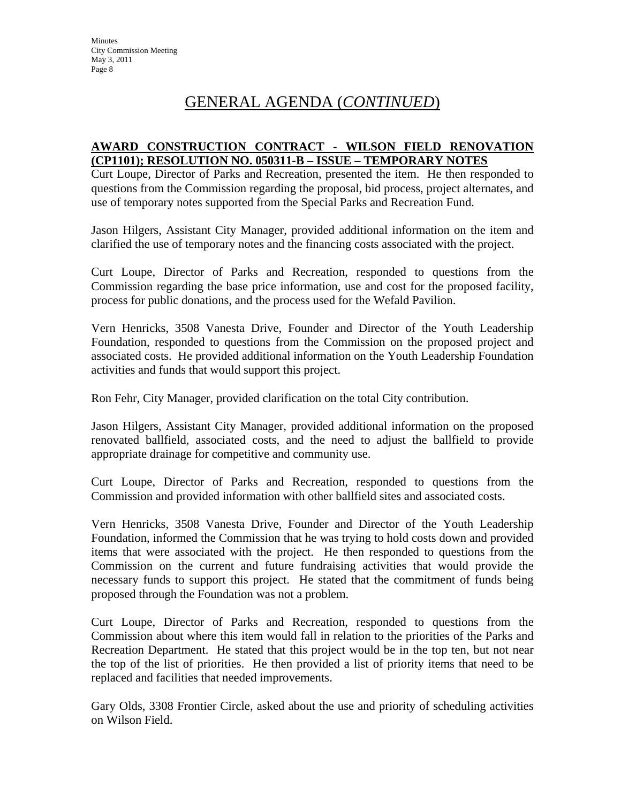#### **AWARD CONSTRUCTION CONTRACT - WILSON FIELD RENOVATION (CP1101); RESOLUTION NO. 050311-B – ISSUE – TEMPORARY NOTES**

Curt Loupe, Director of Parks and Recreation, presented the item. He then responded to questions from the Commission regarding the proposal, bid process, project alternates, and use of temporary notes supported from the Special Parks and Recreation Fund.

Jason Hilgers, Assistant City Manager, provided additional information on the item and clarified the use of temporary notes and the financing costs associated with the project.

Curt Loupe, Director of Parks and Recreation, responded to questions from the Commission regarding the base price information, use and cost for the proposed facility, process for public donations, and the process used for the Wefald Pavilion.

Vern Henricks, 3508 Vanesta Drive, Founder and Director of the Youth Leadership Foundation, responded to questions from the Commission on the proposed project and associated costs. He provided additional information on the Youth Leadership Foundation activities and funds that would support this project.

Ron Fehr, City Manager, provided clarification on the total City contribution.

Jason Hilgers, Assistant City Manager, provided additional information on the proposed renovated ballfield, associated costs, and the need to adjust the ballfield to provide appropriate drainage for competitive and community use.

Curt Loupe, Director of Parks and Recreation, responded to questions from the Commission and provided information with other ballfield sites and associated costs.

Vern Henricks, 3508 Vanesta Drive, Founder and Director of the Youth Leadership Foundation, informed the Commission that he was trying to hold costs down and provided items that were associated with the project. He then responded to questions from the Commission on the current and future fundraising activities that would provide the necessary funds to support this project. He stated that the commitment of funds being proposed through the Foundation was not a problem.

Curt Loupe, Director of Parks and Recreation, responded to questions from the Commission about where this item would fall in relation to the priorities of the Parks and Recreation Department. He stated that this project would be in the top ten, but not near the top of the list of priorities. He then provided a list of priority items that need to be replaced and facilities that needed improvements.

Gary Olds, 3308 Frontier Circle, asked about the use and priority of scheduling activities on Wilson Field.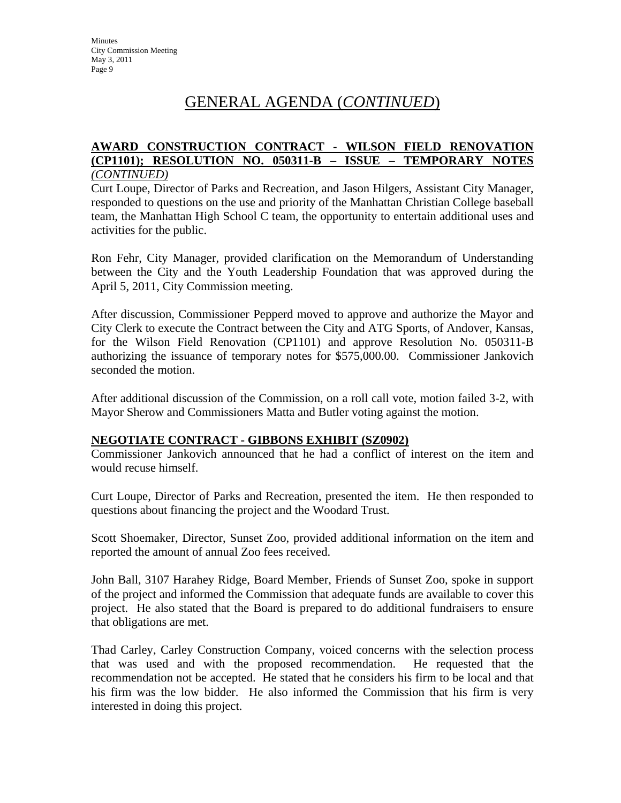#### **AWARD CONSTRUCTION CONTRACT - WILSON FIELD RENOVATION (CP1101); RESOLUTION NO. 050311-B – ISSUE – TEMPORARY NOTES**  *(CONTINUED)*

Curt Loupe, Director of Parks and Recreation, and Jason Hilgers, Assistant City Manager, responded to questions on the use and priority of the Manhattan Christian College baseball team, the Manhattan High School C team, the opportunity to entertain additional uses and activities for the public.

Ron Fehr, City Manager, provided clarification on the Memorandum of Understanding between the City and the Youth Leadership Foundation that was approved during the April 5, 2011, City Commission meeting.

After discussion, Commissioner Pepperd moved to approve and authorize the Mayor and City Clerk to execute the Contract between the City and ATG Sports, of Andover, Kansas, for the Wilson Field Renovation (CP1101) and approve Resolution No. 050311-B authorizing the issuance of temporary notes for \$575,000.00. Commissioner Jankovich seconded the motion.

After additional discussion of the Commission, on a roll call vote, motion failed 3-2, with Mayor Sherow and Commissioners Matta and Butler voting against the motion.

#### **NEGOTIATE CONTRACT - GIBBONS EXHIBIT (SZ0902)**

Commissioner Jankovich announced that he had a conflict of interest on the item and would recuse himself.

Curt Loupe, Director of Parks and Recreation, presented the item. He then responded to questions about financing the project and the Woodard Trust.

Scott Shoemaker, Director, Sunset Zoo, provided additional information on the item and reported the amount of annual Zoo fees received.

John Ball, 3107 Harahey Ridge, Board Member, Friends of Sunset Zoo, spoke in support of the project and informed the Commission that adequate funds are available to cover this project. He also stated that the Board is prepared to do additional fundraisers to ensure that obligations are met.

Thad Carley, Carley Construction Company, voiced concerns with the selection process that was used and with the proposed recommendation. He requested that the recommendation not be accepted. He stated that he considers his firm to be local and that his firm was the low bidder. He also informed the Commission that his firm is very interested in doing this project.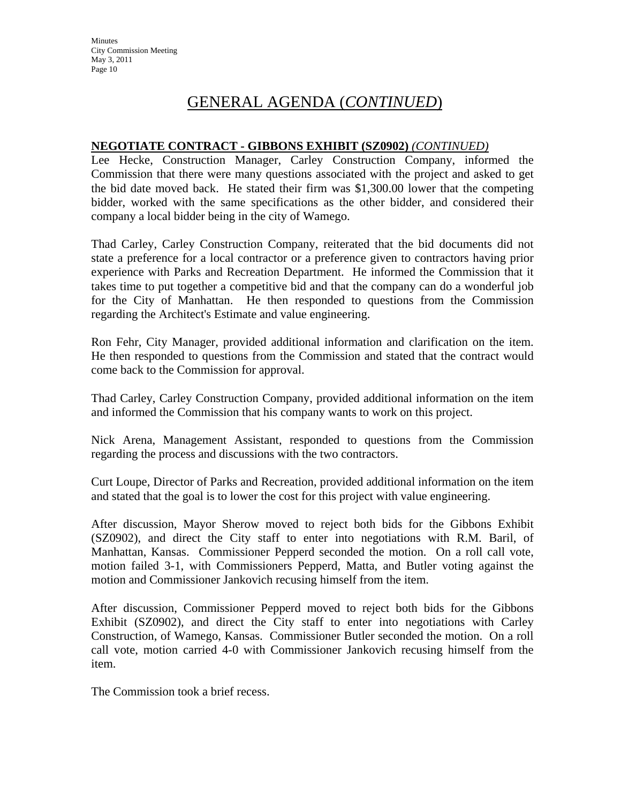#### **NEGOTIATE CONTRACT - GIBBONS EXHIBIT (SZ0902)** *(CONTINUED)*

Lee Hecke, Construction Manager, Carley Construction Company, informed the Commission that there were many questions associated with the project and asked to get the bid date moved back. He stated their firm was \$1,300.00 lower that the competing bidder, worked with the same specifications as the other bidder, and considered their company a local bidder being in the city of Wamego.

Thad Carley, Carley Construction Company, reiterated that the bid documents did not state a preference for a local contractor or a preference given to contractors having prior experience with Parks and Recreation Department. He informed the Commission that it takes time to put together a competitive bid and that the company can do a wonderful job for the City of Manhattan. He then responded to questions from the Commission regarding the Architect's Estimate and value engineering.

Ron Fehr, City Manager, provided additional information and clarification on the item. He then responded to questions from the Commission and stated that the contract would come back to the Commission for approval.

Thad Carley, Carley Construction Company, provided additional information on the item and informed the Commission that his company wants to work on this project.

Nick Arena, Management Assistant, responded to questions from the Commission regarding the process and discussions with the two contractors.

Curt Loupe, Director of Parks and Recreation, provided additional information on the item and stated that the goal is to lower the cost for this project with value engineering.

After discussion, Mayor Sherow moved to reject both bids for the Gibbons Exhibit (SZ0902), and direct the City staff to enter into negotiations with R.M. Baril, of Manhattan, Kansas. Commissioner Pepperd seconded the motion. On a roll call vote, motion failed 3-1, with Commissioners Pepperd, Matta, and Butler voting against the motion and Commissioner Jankovich recusing himself from the item.

After discussion, Commissioner Pepperd moved to reject both bids for the Gibbons Exhibit (SZ0902), and direct the City staff to enter into negotiations with Carley Construction, of Wamego, Kansas. Commissioner Butler seconded the motion. On a roll call vote, motion carried 4-0 with Commissioner Jankovich recusing himself from the item.

The Commission took a brief recess.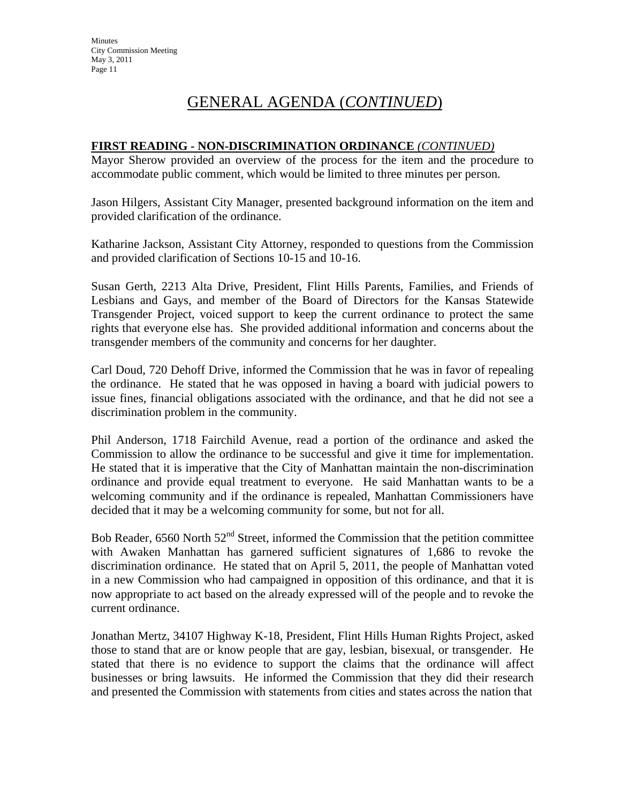#### **FIRST READING - NON-DISCRIMINATION ORDINANCE** *(CONTINUED)*

Mayor Sherow provided an overview of the process for the item and the procedure to accommodate public comment, which would be limited to three minutes per person.

Jason Hilgers, Assistant City Manager, presented background information on the item and provided clarification of the ordinance.

Katharine Jackson, Assistant City Attorney, responded to questions from the Commission and provided clarification of Sections 10-15 and 10-16.

Susan Gerth, 2213 Alta Drive, President, Flint Hills Parents, Families, and Friends of Lesbians and Gays, and member of the Board of Directors for the Kansas Statewide Transgender Project, voiced support to keep the current ordinance to protect the same rights that everyone else has. She provided additional information and concerns about the transgender members of the community and concerns for her daughter.

Carl Doud, 720 Dehoff Drive, informed the Commission that he was in favor of repealing the ordinance. He stated that he was opposed in having a board with judicial powers to issue fines, financial obligations associated with the ordinance, and that he did not see a discrimination problem in the community.

Phil Anderson, 1718 Fairchild Avenue, read a portion of the ordinance and asked the Commission to allow the ordinance to be successful and give it time for implementation. He stated that it is imperative that the City of Manhattan maintain the non-discrimination ordinance and provide equal treatment to everyone. He said Manhattan wants to be a welcoming community and if the ordinance is repealed, Manhattan Commissioners have decided that it may be a welcoming community for some, but not for all.

Bob Reader,  $6560$  North  $52<sup>nd</sup>$  Street, informed the Commission that the petition committee with Awaken Manhattan has garnered sufficient signatures of 1,686 to revoke the discrimination ordinance. He stated that on April 5, 2011, the people of Manhattan voted in a new Commission who had campaigned in opposition of this ordinance, and that it is now appropriate to act based on the already expressed will of the people and to revoke the current ordinance.

Jonathan Mertz, 34107 Highway K-18, President, Flint Hills Human Rights Project, asked those to stand that are or know people that are gay, lesbian, bisexual, or transgender. He stated that there is no evidence to support the claims that the ordinance will affect businesses or bring lawsuits. He informed the Commission that they did their research and presented the Commission with statements from cities and states across the nation that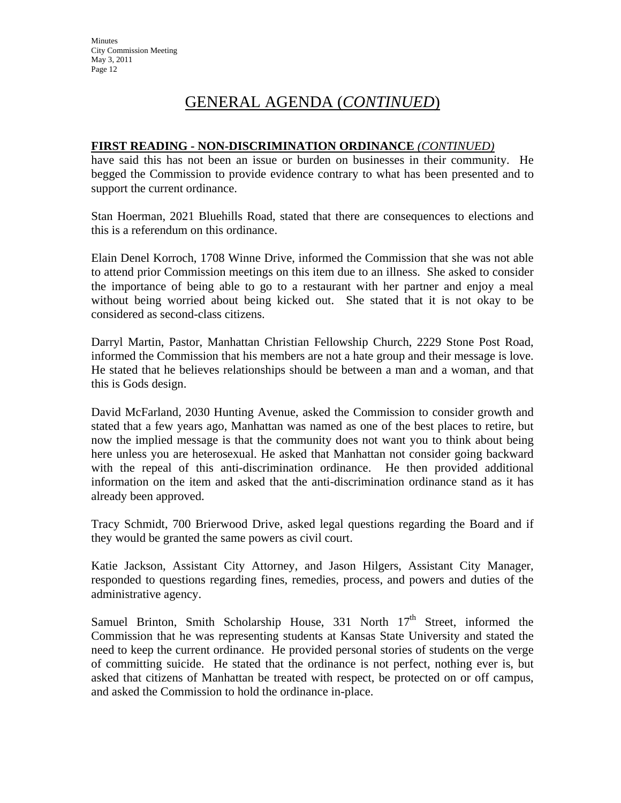#### **FIRST READING - NON-DISCRIMINATION ORDINANCE** *(CONTINUED)*

have said this has not been an issue or burden on businesses in their community. He begged the Commission to provide evidence contrary to what has been presented and to support the current ordinance.

Stan Hoerman, 2021 Bluehills Road, stated that there are consequences to elections and this is a referendum on this ordinance.

Elain Denel Korroch, 1708 Winne Drive, informed the Commission that she was not able to attend prior Commission meetings on this item due to an illness. She asked to consider the importance of being able to go to a restaurant with her partner and enjoy a meal without being worried about being kicked out. She stated that it is not okay to be considered as second-class citizens.

Darryl Martin, Pastor, Manhattan Christian Fellowship Church, 2229 Stone Post Road, informed the Commission that his members are not a hate group and their message is love. He stated that he believes relationships should be between a man and a woman, and that this is Gods design.

David McFarland, 2030 Hunting Avenue, asked the Commission to consider growth and stated that a few years ago, Manhattan was named as one of the best places to retire, but now the implied message is that the community does not want you to think about being here unless you are heterosexual. He asked that Manhattan not consider going backward with the repeal of this anti-discrimination ordinance. He then provided additional information on the item and asked that the anti-discrimination ordinance stand as it has already been approved.

Tracy Schmidt, 700 Brierwood Drive, asked legal questions regarding the Board and if they would be granted the same powers as civil court.

Katie Jackson, Assistant City Attorney, and Jason Hilgers, Assistant City Manager, responded to questions regarding fines, remedies, process, and powers and duties of the administrative agency.

Samuel Brinton, Smith Scholarship House, 331 North 17<sup>th</sup> Street, informed the Commission that he was representing students at Kansas State University and stated the need to keep the current ordinance. He provided personal stories of students on the verge of committing suicide. He stated that the ordinance is not perfect, nothing ever is, but asked that citizens of Manhattan be treated with respect, be protected on or off campus, and asked the Commission to hold the ordinance in-place.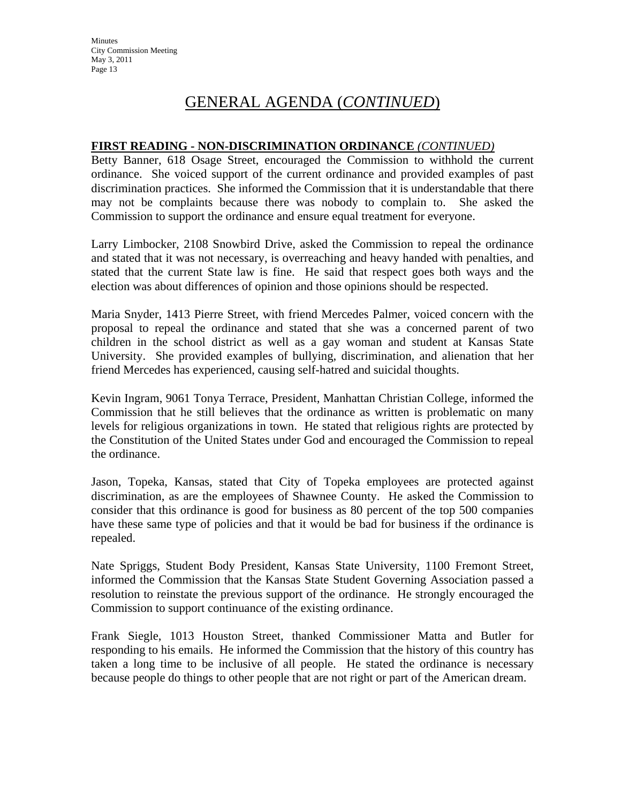#### **FIRST READING - NON-DISCRIMINATION ORDINANCE** *(CONTINUED)*

Betty Banner, 618 Osage Street, encouraged the Commission to withhold the current ordinance. She voiced support of the current ordinance and provided examples of past discrimination practices. She informed the Commission that it is understandable that there may not be complaints because there was nobody to complain to. She asked the Commission to support the ordinance and ensure equal treatment for everyone.

Larry Limbocker, 2108 Snowbird Drive, asked the Commission to repeal the ordinance and stated that it was not necessary, is overreaching and heavy handed with penalties, and stated that the current State law is fine. He said that respect goes both ways and the election was about differences of opinion and those opinions should be respected.

Maria Snyder, 1413 Pierre Street, with friend Mercedes Palmer, voiced concern with the proposal to repeal the ordinance and stated that she was a concerned parent of two children in the school district as well as a gay woman and student at Kansas State University. She provided examples of bullying, discrimination, and alienation that her friend Mercedes has experienced, causing self-hatred and suicidal thoughts.

Kevin Ingram, 9061 Tonya Terrace, President, Manhattan Christian College, informed the Commission that he still believes that the ordinance as written is problematic on many levels for religious organizations in town. He stated that religious rights are protected by the Constitution of the United States under God and encouraged the Commission to repeal the ordinance.

Jason, Topeka, Kansas, stated that City of Topeka employees are protected against discrimination, as are the employees of Shawnee County. He asked the Commission to consider that this ordinance is good for business as 80 percent of the top 500 companies have these same type of policies and that it would be bad for business if the ordinance is repealed.

Nate Spriggs, Student Body President, Kansas State University, 1100 Fremont Street, informed the Commission that the Kansas State Student Governing Association passed a resolution to reinstate the previous support of the ordinance. He strongly encouraged the Commission to support continuance of the existing ordinance.

Frank Siegle, 1013 Houston Street, thanked Commissioner Matta and Butler for responding to his emails. He informed the Commission that the history of this country has taken a long time to be inclusive of all people. He stated the ordinance is necessary because people do things to other people that are not right or part of the American dream.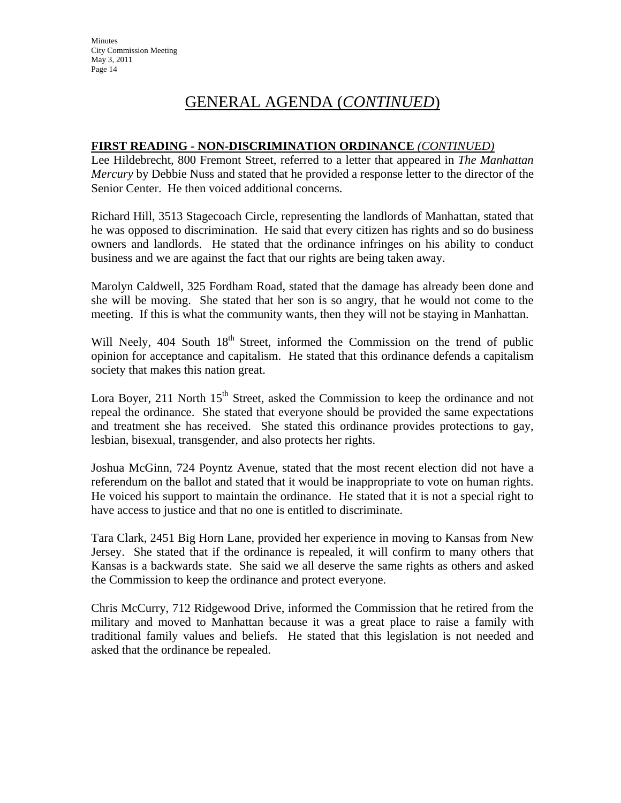#### **FIRST READING - NON-DISCRIMINATION ORDINANCE** *(CONTINUED)*

Lee Hildebrecht, 800 Fremont Street, referred to a letter that appeared in *The Manhattan Mercury* by Debbie Nuss and stated that he provided a response letter to the director of the Senior Center. He then voiced additional concerns.

Richard Hill, 3513 Stagecoach Circle, representing the landlords of Manhattan, stated that he was opposed to discrimination. He said that every citizen has rights and so do business owners and landlords. He stated that the ordinance infringes on his ability to conduct business and we are against the fact that our rights are being taken away.

Marolyn Caldwell, 325 Fordham Road, stated that the damage has already been done and she will be moving. She stated that her son is so angry, that he would not come to the meeting. If this is what the community wants, then they will not be staying in Manhattan.

Will Neely, 404 South 18<sup>th</sup> Street, informed the Commission on the trend of public opinion for acceptance and capitalism. He stated that this ordinance defends a capitalism society that makes this nation great.

Lora Boyer, 211 North  $15<sup>th</sup>$  Street, asked the Commission to keep the ordinance and not repeal the ordinance. She stated that everyone should be provided the same expectations and treatment she has received. She stated this ordinance provides protections to gay, lesbian, bisexual, transgender, and also protects her rights.

Joshua McGinn, 724 Poyntz Avenue, stated that the most recent election did not have a referendum on the ballot and stated that it would be inappropriate to vote on human rights. He voiced his support to maintain the ordinance. He stated that it is not a special right to have access to justice and that no one is entitled to discriminate.

Tara Clark, 2451 Big Horn Lane, provided her experience in moving to Kansas from New Jersey. She stated that if the ordinance is repealed, it will confirm to many others that Kansas is a backwards state. She said we all deserve the same rights as others and asked the Commission to keep the ordinance and protect everyone.

Chris McCurry, 712 Ridgewood Drive, informed the Commission that he retired from the military and moved to Manhattan because it was a great place to raise a family with traditional family values and beliefs. He stated that this legislation is not needed and asked that the ordinance be repealed.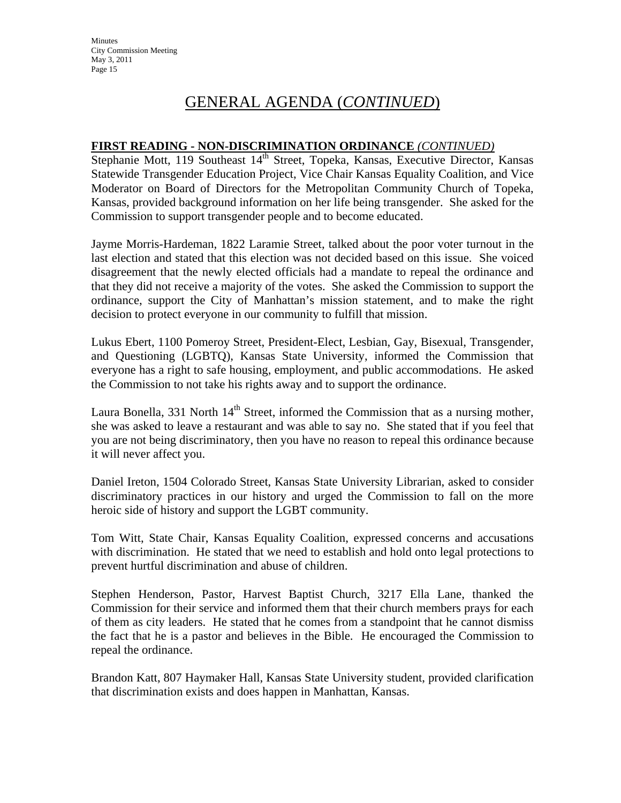#### **FIRST READING - NON-DISCRIMINATION ORDINANCE** *(CONTINUED)*

Stephanie Mott, 119 Southeast 14<sup>th</sup> Street, Topeka, Kansas, Executive Director, Kansas Statewide Transgender Education Project, Vice Chair Kansas Equality Coalition, and Vice Moderator on Board of Directors for the Metropolitan Community Church of Topeka, Kansas, provided background information on her life being transgender. She asked for the Commission to support transgender people and to become educated.

Jayme Morris-Hardeman, 1822 Laramie Street, talked about the poor voter turnout in the last election and stated that this election was not decided based on this issue. She voiced disagreement that the newly elected officials had a mandate to repeal the ordinance and that they did not receive a majority of the votes. She asked the Commission to support the ordinance, support the City of Manhattan's mission statement, and to make the right decision to protect everyone in our community to fulfill that mission.

Lukus Ebert, 1100 Pomeroy Street, President-Elect, Lesbian, Gay, Bisexual, Transgender, and Questioning (LGBTQ), Kansas State University, informed the Commission that everyone has a right to safe housing, employment, and public accommodations. He asked the Commission to not take his rights away and to support the ordinance.

Laura Bonella, 331 North  $14<sup>th</sup>$  Street, informed the Commission that as a nursing mother, she was asked to leave a restaurant and was able to say no. She stated that if you feel that you are not being discriminatory, then you have no reason to repeal this ordinance because it will never affect you.

Daniel Ireton, 1504 Colorado Street, Kansas State University Librarian, asked to consider discriminatory practices in our history and urged the Commission to fall on the more heroic side of history and support the LGBT community.

Tom Witt, State Chair, Kansas Equality Coalition, expressed concerns and accusations with discrimination. He stated that we need to establish and hold onto legal protections to prevent hurtful discrimination and abuse of children.

Stephen Henderson, Pastor, Harvest Baptist Church, 3217 Ella Lane, thanked the Commission for their service and informed them that their church members prays for each of them as city leaders. He stated that he comes from a standpoint that he cannot dismiss the fact that he is a pastor and believes in the Bible. He encouraged the Commission to repeal the ordinance.

Brandon Katt, 807 Haymaker Hall, Kansas State University student, provided clarification that discrimination exists and does happen in Manhattan, Kansas.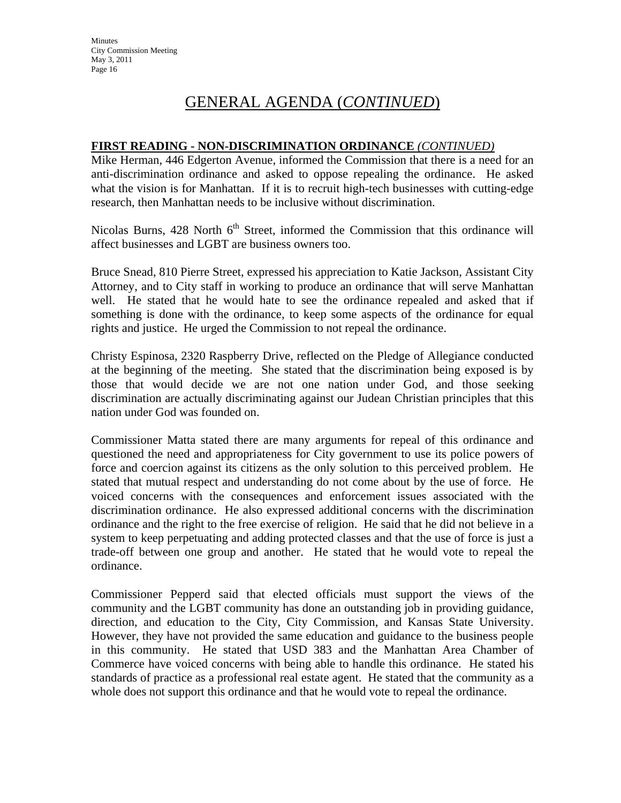#### **FIRST READING - NON-DISCRIMINATION ORDINANCE** *(CONTINUED)*

Mike Herman, 446 Edgerton Avenue, informed the Commission that there is a need for an anti-discrimination ordinance and asked to oppose repealing the ordinance. He asked what the vision is for Manhattan. If it is to recruit high-tech businesses with cutting-edge research, then Manhattan needs to be inclusive without discrimination.

Nicolas Burns,  $428$  North  $6<sup>th</sup>$  Street, informed the Commission that this ordinance will affect businesses and LGBT are business owners too.

Bruce Snead, 810 Pierre Street, expressed his appreciation to Katie Jackson, Assistant City Attorney, and to City staff in working to produce an ordinance that will serve Manhattan well. He stated that he would hate to see the ordinance repealed and asked that if something is done with the ordinance, to keep some aspects of the ordinance for equal rights and justice. He urged the Commission to not repeal the ordinance.

Christy Espinosa, 2320 Raspberry Drive, reflected on the Pledge of Allegiance conducted at the beginning of the meeting. She stated that the discrimination being exposed is by those that would decide we are not one nation under God, and those seeking discrimination are actually discriminating against our Judean Christian principles that this nation under God was founded on.

Commissioner Matta stated there are many arguments for repeal of this ordinance and questioned the need and appropriateness for City government to use its police powers of force and coercion against its citizens as the only solution to this perceived problem. He stated that mutual respect and understanding do not come about by the use of force. He voiced concerns with the consequences and enforcement issues associated with the discrimination ordinance. He also expressed additional concerns with the discrimination ordinance and the right to the free exercise of religion. He said that he did not believe in a system to keep perpetuating and adding protected classes and that the use of force is just a trade-off between one group and another. He stated that he would vote to repeal the ordinance.

Commissioner Pepperd said that elected officials must support the views of the community and the LGBT community has done an outstanding job in providing guidance, direction, and education to the City, City Commission, and Kansas State University. However, they have not provided the same education and guidance to the business people in this community. He stated that USD 383 and the Manhattan Area Chamber of Commerce have voiced concerns with being able to handle this ordinance. He stated his standards of practice as a professional real estate agent. He stated that the community as a whole does not support this ordinance and that he would vote to repeal the ordinance.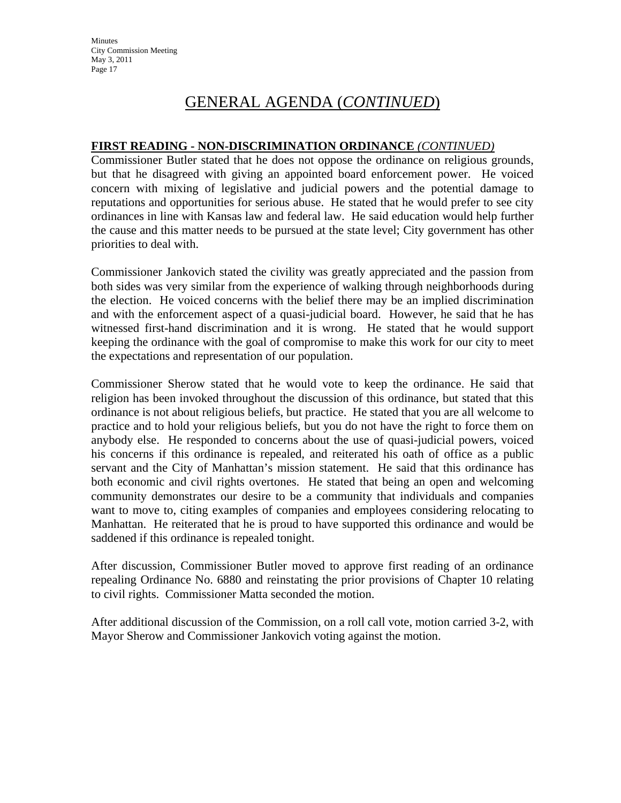#### **FIRST READING - NON-DISCRIMINATION ORDINANCE** *(CONTINUED)*

Commissioner Butler stated that he does not oppose the ordinance on religious grounds, but that he disagreed with giving an appointed board enforcement power. He voiced concern with mixing of legislative and judicial powers and the potential damage to reputations and opportunities for serious abuse. He stated that he would prefer to see city ordinances in line with Kansas law and federal law. He said education would help further the cause and this matter needs to be pursued at the state level; City government has other priorities to deal with.

Commissioner Jankovich stated the civility was greatly appreciated and the passion from both sides was very similar from the experience of walking through neighborhoods during the election. He voiced concerns with the belief there may be an implied discrimination and with the enforcement aspect of a quasi-judicial board. However, he said that he has witnessed first-hand discrimination and it is wrong. He stated that he would support keeping the ordinance with the goal of compromise to make this work for our city to meet the expectations and representation of our population.

Commissioner Sherow stated that he would vote to keep the ordinance. He said that religion has been invoked throughout the discussion of this ordinance, but stated that this ordinance is not about religious beliefs, but practice. He stated that you are all welcome to practice and to hold your religious beliefs, but you do not have the right to force them on anybody else. He responded to concerns about the use of quasi-judicial powers, voiced his concerns if this ordinance is repealed, and reiterated his oath of office as a public servant and the City of Manhattan's mission statement. He said that this ordinance has both economic and civil rights overtones. He stated that being an open and welcoming community demonstrates our desire to be a community that individuals and companies want to move to, citing examples of companies and employees considering relocating to Manhattan. He reiterated that he is proud to have supported this ordinance and would be saddened if this ordinance is repealed tonight.

After discussion, Commissioner Butler moved to approve first reading of an ordinance repealing Ordinance No. 6880 and reinstating the prior provisions of Chapter 10 relating to civil rights. Commissioner Matta seconded the motion.

After additional discussion of the Commission, on a roll call vote, motion carried 3-2, with Mayor Sherow and Commissioner Jankovich voting against the motion.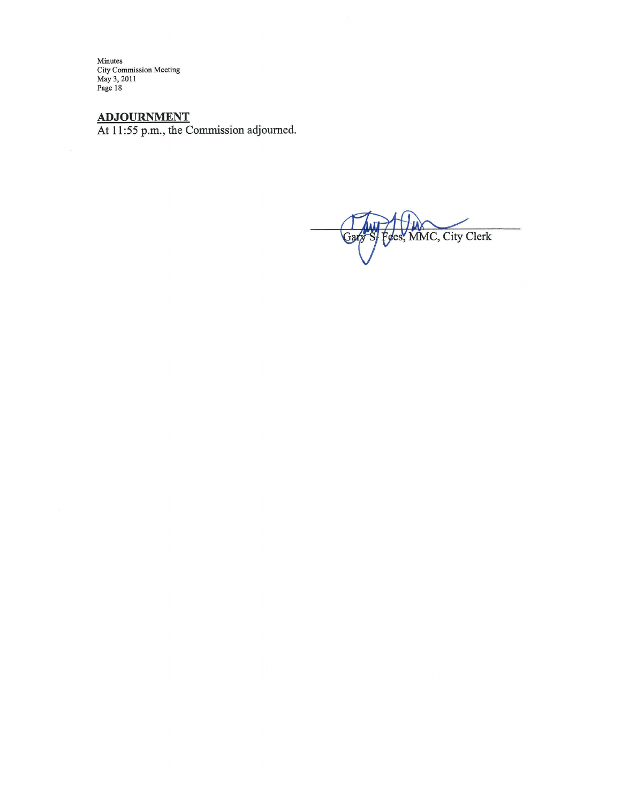Minutes<br>City Commission Meeting<br>May 3, 2011<br>Page 18

ADJOURNMENT<br>At 11:55 p.m., the Commission adjourned.

S/Fees, MMC, City Clerk Gary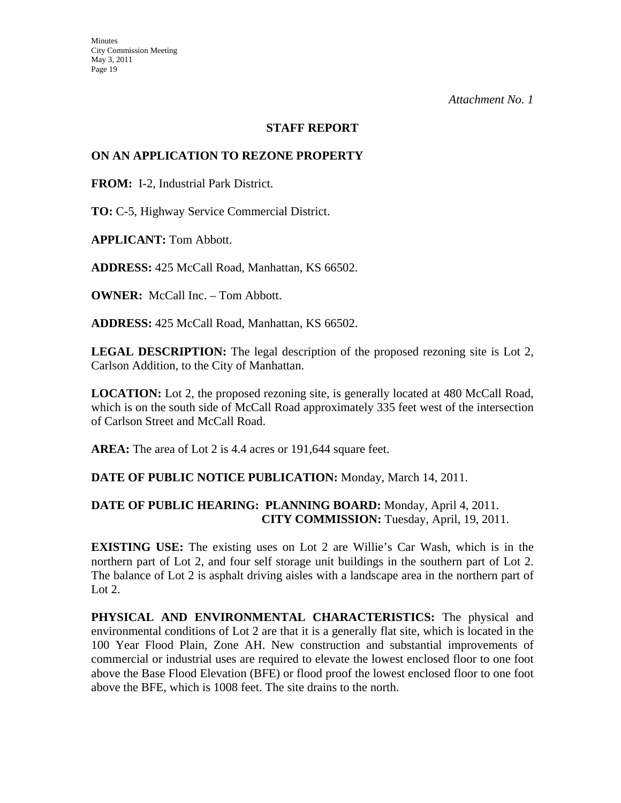#### **STAFF REPORT**

#### **ON AN APPLICATION TO REZONE PROPERTY**

**FROM:** I-2, Industrial Park District.

**TO:** C-5, Highway Service Commercial District.

**APPLICANT:** Tom Abbott.

**ADDRESS:** 425 McCall Road, Manhattan, KS 66502.

**OWNER:** McCall Inc. – Tom Abbott.

**ADDRESS:** 425 McCall Road, Manhattan, KS 66502.

**LEGAL DESCRIPTION:** The legal description of the proposed rezoning site is Lot 2, Carlson Addition, to the City of Manhattan.

**LOCATION:** Lot 2, the proposed rezoning site, is generally located at 480 McCall Road, which is on the south side of McCall Road approximately 335 feet west of the intersection of Carlson Street and McCall Road.

**AREA:** The area of Lot 2 is 4.4 acres or 191,644 square feet.

#### **DATE OF PUBLIC NOTICE PUBLICATION:** Monday, March 14, 2011.

#### **DATE OF PUBLIC HEARING: PLANNING BOARD:** Monday, April 4, 2011. **CITY COMMISSION:** Tuesday, April, 19, 2011.

**EXISTING USE:** The existing uses on Lot 2 are Willie's Car Wash, which is in the northern part of Lot 2, and four self storage unit buildings in the southern part of Lot 2. The balance of Lot 2 is asphalt driving aisles with a landscape area in the northern part of Lot  $2$ .

**PHYSICAL AND ENVIRONMENTAL CHARACTERISTICS:** The physical and environmental conditions of Lot 2 are that it is a generally flat site, which is located in the 100 Year Flood Plain, Zone AH. New construction and substantial improvements of commercial or industrial uses are required to elevate the lowest enclosed floor to one foot above the Base Flood Elevation (BFE) or flood proof the lowest enclosed floor to one foot above the BFE, which is 1008 feet. The site drains to the north.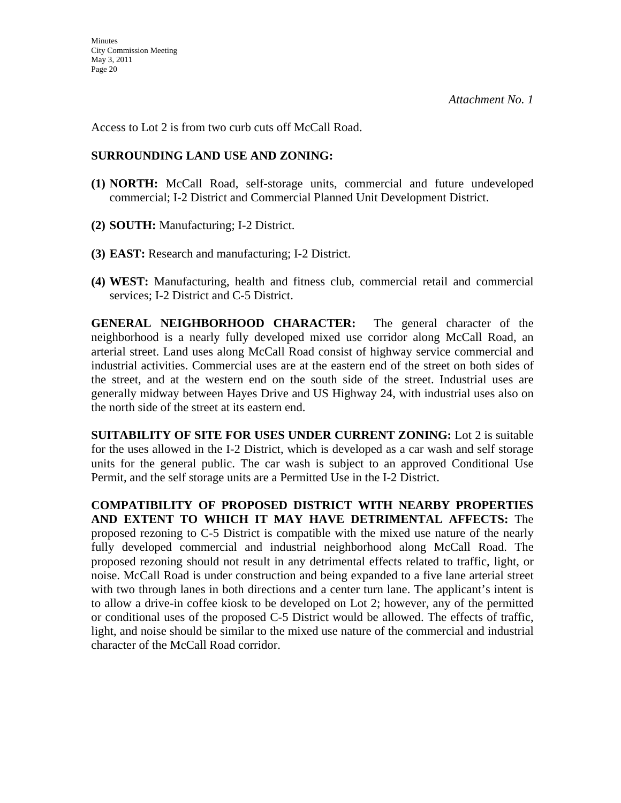Access to Lot 2 is from two curb cuts off McCall Road.

### **SURROUNDING LAND USE AND ZONING:**

- **(1) NORTH:** McCall Road, self-storage units, commercial and future undeveloped commercial; I-2 District and Commercial Planned Unit Development District.
- **(2) SOUTH:** Manufacturing; I-2 District.
- **(3) EAST:** Research and manufacturing; I-2 District.
- **(4) WEST:** Manufacturing, health and fitness club, commercial retail and commercial services; I-2 District and C-5 District.

**GENERAL NEIGHBORHOOD CHARACTER:** The general character of the neighborhood is a nearly fully developed mixed use corridor along McCall Road, an arterial street. Land uses along McCall Road consist of highway service commercial and industrial activities. Commercial uses are at the eastern end of the street on both sides of the street, and at the western end on the south side of the street. Industrial uses are generally midway between Hayes Drive and US Highway 24, with industrial uses also on the north side of the street at its eastern end.

**SUITABILITY OF SITE FOR USES UNDER CURRENT ZONING:** Lot 2 is suitable for the uses allowed in the I-2 District, which is developed as a car wash and self storage units for the general public. The car wash is subject to an approved Conditional Use Permit, and the self storage units are a Permitted Use in the I-2 District.

**COMPATIBILITY OF PROPOSED DISTRICT WITH NEARBY PROPERTIES AND EXTENT TO WHICH IT MAY HAVE DETRIMENTAL AFFECTS:** The proposed rezoning to C-5 District is compatible with the mixed use nature of the nearly fully developed commercial and industrial neighborhood along McCall Road. The proposed rezoning should not result in any detrimental effects related to traffic, light, or noise. McCall Road is under construction and being expanded to a five lane arterial street with two through lanes in both directions and a center turn lane. The applicant's intent is to allow a drive-in coffee kiosk to be developed on Lot 2; however, any of the permitted or conditional uses of the proposed C-5 District would be allowed. The effects of traffic, light, and noise should be similar to the mixed use nature of the commercial and industrial character of the McCall Road corridor.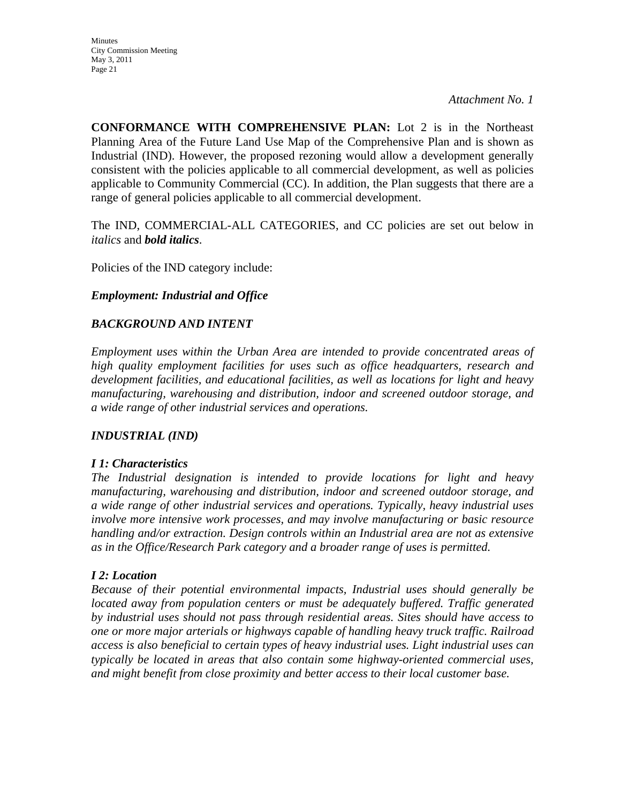**CONFORMANCE WITH COMPREHENSIVE PLAN:** Lot 2 is in the Northeast Planning Area of the Future Land Use Map of the Comprehensive Plan and is shown as Industrial (IND). However, the proposed rezoning would allow a development generally consistent with the policies applicable to all commercial development, as well as policies applicable to Community Commercial (CC). In addition, the Plan suggests that there are a range of general policies applicable to all commercial development.

The IND, COMMERCIAL-ALL CATEGORIES, and CC policies are set out below in *italics* and *bold italics*.

Policies of the IND category include:

#### *Employment: Industrial and Office*

#### *BACKGROUND AND INTENT*

*Employment uses within the Urban Area are intended to provide concentrated areas of high quality employment facilities for uses such as office headquarters, research and development facilities, and educational facilities, as well as locations for light and heavy manufacturing, warehousing and distribution, indoor and screened outdoor storage, and a wide range of other industrial services and operations.* 

#### *INDUSTRIAL (IND)*

#### *I 1: Characteristics*

*The Industrial designation is intended to provide locations for light and heavy manufacturing, warehousing and distribution, indoor and screened outdoor storage, and a wide range of other industrial services and operations. Typically, heavy industrial uses involve more intensive work processes, and may involve manufacturing or basic resource handling and/or extraction. Design controls within an Industrial area are not as extensive as in the Office/Research Park category and a broader range of uses is permitted.* 

#### *I 2: Location*

*Because of their potential environmental impacts, Industrial uses should generally be located away from population centers or must be adequately buffered. Traffic generated by industrial uses should not pass through residential areas. Sites should have access to one or more major arterials or highways capable of handling heavy truck traffic. Railroad access is also beneficial to certain types of heavy industrial uses. Light industrial uses can typically be located in areas that also contain some highway-oriented commercial uses, and might benefit from close proximity and better access to their local customer base.*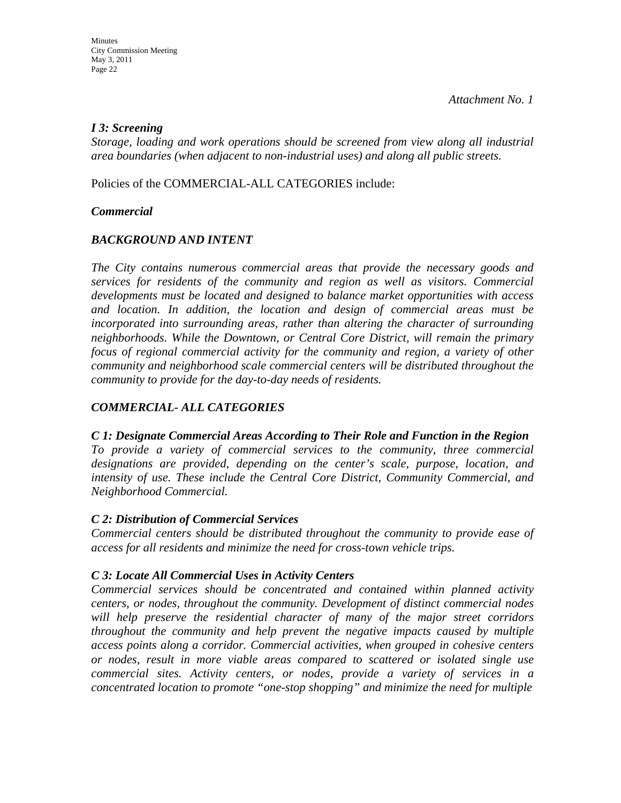#### *I 3: Screening*

*Storage, loading and work operations should be screened from view along all industrial area boundaries (when adjacent to non-industrial uses) and along all public streets.* 

Policies of the COMMERCIAL-ALL CATEGORIES include:

### *Commercial*

### *BACKGROUND AND INTENT*

*The City contains numerous commercial areas that provide the necessary goods and services for residents of the community and region as well as visitors. Commercial developments must be located and designed to balance market opportunities with access and location. In addition, the location and design of commercial areas must be incorporated into surrounding areas, rather than altering the character of surrounding neighborhoods. While the Downtown, or Central Core District, will remain the primary focus of regional commercial activity for the community and region, a variety of other community and neighborhood scale commercial centers will be distributed throughout the community to provide for the day-to-day needs of residents.* 

### *COMMERCIAL- ALL CATEGORIES*

*C 1: Designate Commercial Areas According to Their Role and Function in the Region To provide a variety of commercial services to the community, three commercial designations are provided, depending on the center's scale, purpose, location, and intensity of use. These include the Central Core District, Community Commercial, and Neighborhood Commercial.* 

#### *C 2: Distribution of Commercial Services*

*Commercial centers should be distributed throughout the community to provide ease of access for all residents and minimize the need for cross-town vehicle trips.* 

### *C 3: Locate All Commercial Uses in Activity Centers*

*Commercial services should be concentrated and contained within planned activity centers, or nodes, throughout the community. Development of distinct commercial nodes will help preserve the residential character of many of the major street corridors throughout the community and help prevent the negative impacts caused by multiple access points along a corridor. Commercial activities, when grouped in cohesive centers or nodes, result in more viable areas compared to scattered or isolated single use commercial sites. Activity centers, or nodes, provide a variety of services in a concentrated location to promote "one-stop shopping" and minimize the need for multiple*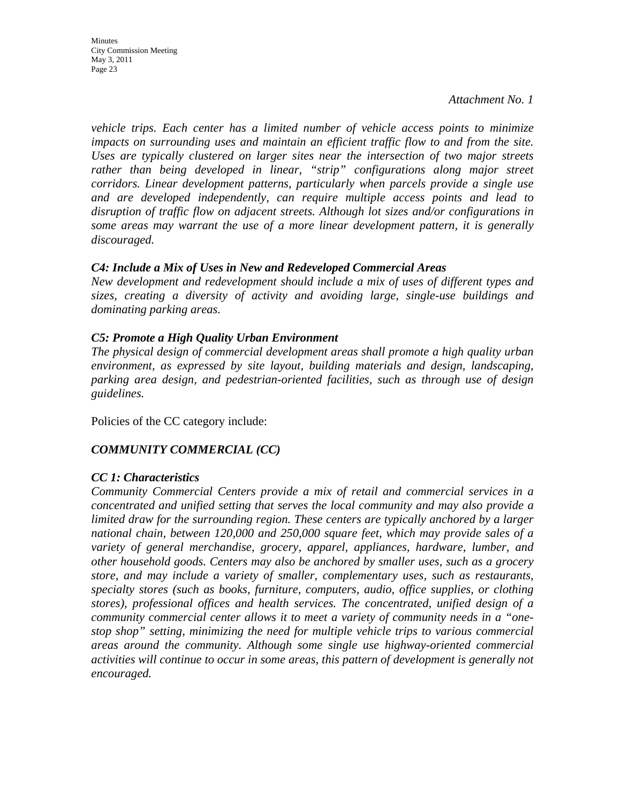**Minutes** City Commission Meeting May 3, 2011 Page 23

*Attachment No. 1* 

*vehicle trips. Each center has a limited number of vehicle access points to minimize impacts on surrounding uses and maintain an efficient traffic flow to and from the site. Uses are typically clustered on larger sites near the intersection of two major streets*  rather than being developed in linear, "strip" configurations along major street *corridors. Linear development patterns, particularly when parcels provide a single use and are developed independently, can require multiple access points and lead to disruption of traffic flow on adjacent streets. Although lot sizes and/or configurations in some areas may warrant the use of a more linear development pattern, it is generally discouraged.* 

#### *C4: Include a Mix of Uses in New and Redeveloped Commercial Areas*

*New development and redevelopment should include a mix of uses of different types and sizes, creating a diversity of activity and avoiding large, single-use buildings and dominating parking areas.* 

#### *C5: Promote a High Quality Urban Environment*

*The physical design of commercial development areas shall promote a high quality urban environment, as expressed by site layout, building materials and design, landscaping, parking area design, and pedestrian-oriented facilities, such as through use of design guidelines.* 

Policies of the CC category include:

### *COMMUNITY COMMERCIAL (CC)*

#### *CC 1: Characteristics*

*Community Commercial Centers provide a mix of retail and commercial services in a concentrated and unified setting that serves the local community and may also provide a limited draw for the surrounding region. These centers are typically anchored by a larger national chain, between 120,000 and 250,000 square feet, which may provide sales of a variety of general merchandise, grocery, apparel, appliances, hardware, lumber, and other household goods. Centers may also be anchored by smaller uses, such as a grocery store, and may include a variety of smaller, complementary uses, such as restaurants, specialty stores (such as books, furniture, computers, audio, office supplies, or clothing stores), professional offices and health services. The concentrated, unified design of a community commercial center allows it to meet a variety of community needs in a "onestop shop" setting, minimizing the need for multiple vehicle trips to various commercial areas around the community. Although some single use highway-oriented commercial activities will continue to occur in some areas, this pattern of development is generally not encouraged.*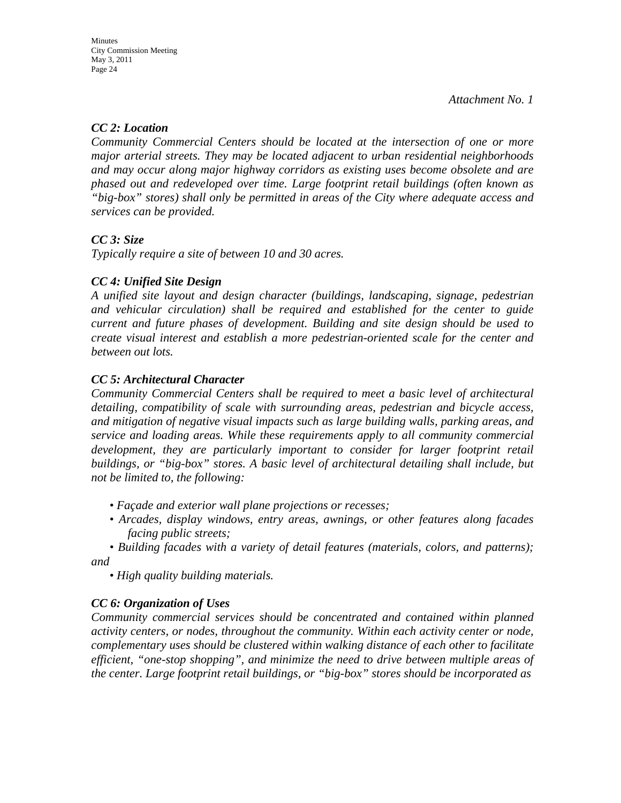### *CC 2: Location*

*Community Commercial Centers should be located at the intersection of one or more major arterial streets. They may be located adjacent to urban residential neighborhoods and may occur along major highway corridors as existing uses become obsolete and are phased out and redeveloped over time. Large footprint retail buildings (often known as "big-box" stores) shall only be permitted in areas of the City where adequate access and services can be provided.* 

### *CC 3: Size*

*Typically require a site of between 10 and 30 acres.* 

### *CC 4: Unified Site Design*

*A unified site layout and design character (buildings, landscaping, signage, pedestrian and vehicular circulation) shall be required and established for the center to guide current and future phases of development. Building and site design should be used to create visual interest and establish a more pedestrian-oriented scale for the center and between out lots.* 

### *CC 5: Architectural Character*

*Community Commercial Centers shall be required to meet a basic level of architectural detailing, compatibility of scale with surrounding areas, pedestrian and bicycle access, and mitigation of negative visual impacts such as large building walls, parking areas, and service and loading areas. While these requirements apply to all community commercial*  development, they are particularly important to consider for larger footprint retail *buildings, or "big-box" stores. A basic level of architectural detailing shall include, but not be limited to, the following:* 

- *Façade and exterior wall plane projections or recesses;*
- *Arcades, display windows, entry areas, awnings, or other features along facades facing public streets;*
- *Building facades with a variety of detail features (materials, colors, and patterns); and*

*• High quality building materials.* 

#### *CC 6: Organization of Uses*

*Community commercial services should be concentrated and contained within planned activity centers, or nodes, throughout the community. Within each activity center or node, complementary uses should be clustered within walking distance of each other to facilitate efficient, "one-stop shopping", and minimize the need to drive between multiple areas of the center. Large footprint retail buildings, or "big-box" stores should be incorporated as*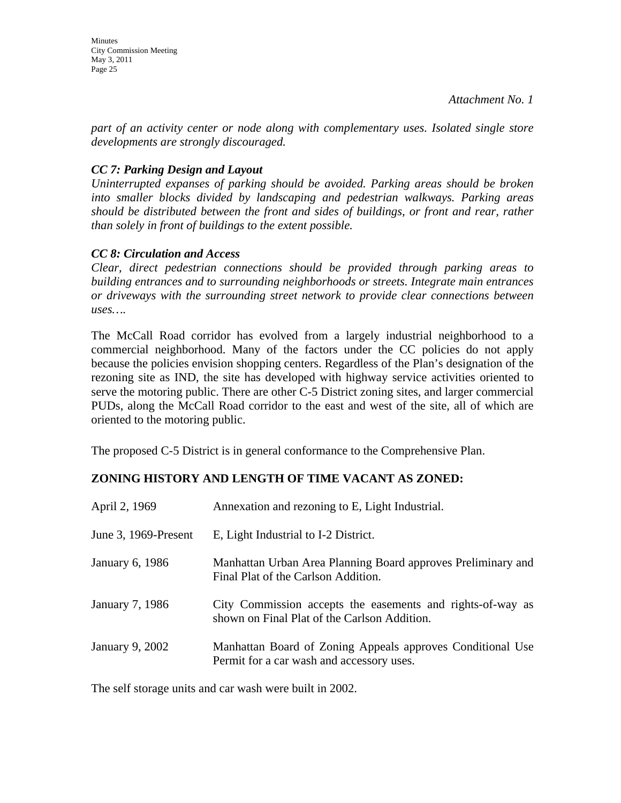*part of an activity center or node along with complementary uses. Isolated single store developments are strongly discouraged.* 

### *CC 7: Parking Design and Layout*

*Uninterrupted expanses of parking should be avoided. Parking areas should be broken into smaller blocks divided by landscaping and pedestrian walkways. Parking areas should be distributed between the front and sides of buildings, or front and rear, rather than solely in front of buildings to the extent possible.* 

### *CC 8: Circulation and Access*

*Clear, direct pedestrian connections should be provided through parking areas to building entrances and to surrounding neighborhoods or streets. Integrate main entrances or driveways with the surrounding street network to provide clear connections between uses….* 

The McCall Road corridor has evolved from a largely industrial neighborhood to a commercial neighborhood. Many of the factors under the CC policies do not apply because the policies envision shopping centers. Regardless of the Plan's designation of the rezoning site as IND, the site has developed with highway service activities oriented to serve the motoring public. There are other C-5 District zoning sites, and larger commercial PUDs, along the McCall Road corridor to the east and west of the site, all of which are oriented to the motoring public.

The proposed C-5 District is in general conformance to the Comprehensive Plan.

### **ZONING HISTORY AND LENGTH OF TIME VACANT AS ZONED:**

| April 2, 1969        | Annexation and rezoning to E, Light Industrial.                                                            |
|----------------------|------------------------------------------------------------------------------------------------------------|
| June 3, 1969-Present | E, Light Industrial to I-2 District.                                                                       |
| January 6, 1986      | Manhattan Urban Area Planning Board approves Preliminary and<br>Final Plat of the Carlson Addition.        |
| January 7, 1986      | City Commission accepts the easements and rights-of-way as<br>shown on Final Plat of the Carlson Addition. |
| January 9, 2002      | Manhattan Board of Zoning Appeals approves Conditional Use<br>Permit for a car wash and accessory uses.    |

The self storage units and car wash were built in 2002.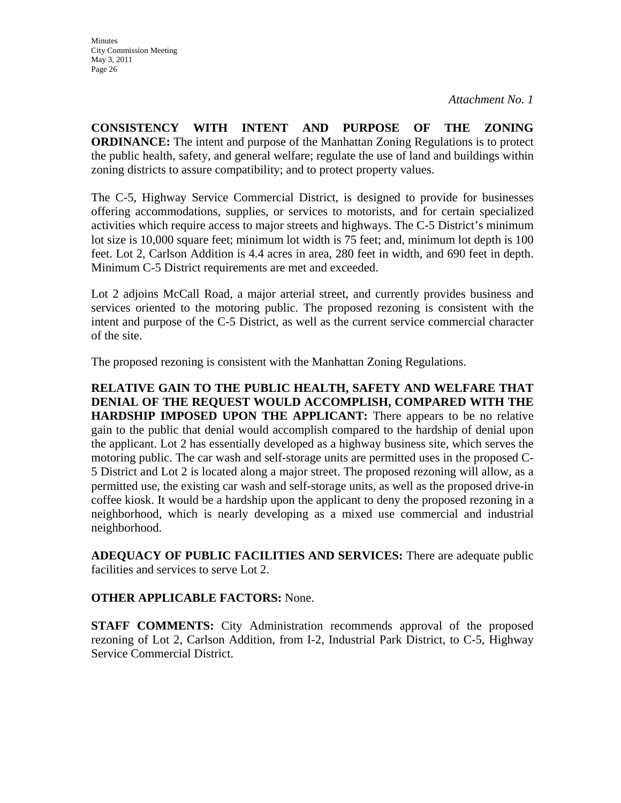**CONSISTENCY WITH INTENT AND PURPOSE OF THE ZONING ORDINANCE:** The intent and purpose of the Manhattan Zoning Regulations is to protect the public health, safety, and general welfare; regulate the use of land and buildings within zoning districts to assure compatibility; and to protect property values.

The C-5, Highway Service Commercial District, is designed to provide for businesses offering accommodations, supplies, or services to motorists, and for certain specialized activities which require access to major streets and highways. The C-5 District's minimum lot size is 10,000 square feet; minimum lot width is 75 feet; and, minimum lot depth is 100 feet. Lot 2, Carlson Addition is 4.4 acres in area, 280 feet in width, and 690 feet in depth. Minimum C-5 District requirements are met and exceeded.

Lot 2 adjoins McCall Road, a major arterial street, and currently provides business and services oriented to the motoring public. The proposed rezoning is consistent with the intent and purpose of the C-5 District, as well as the current service commercial character of the site.

The proposed rezoning is consistent with the Manhattan Zoning Regulations.

**RELATIVE GAIN TO THE PUBLIC HEALTH, SAFETY AND WELFARE THAT DENIAL OF THE REQUEST WOULD ACCOMPLISH, COMPARED WITH THE HARDSHIP IMPOSED UPON THE APPLICANT:** There appears to be no relative gain to the public that denial would accomplish compared to the hardship of denial upon the applicant. Lot 2 has essentially developed as a highway business site, which serves the motoring public. The car wash and self-storage units are permitted uses in the proposed C-5 District and Lot 2 is located along a major street. The proposed rezoning will allow, as a permitted use, the existing car wash and self-storage units, as well as the proposed drive-in coffee kiosk. It would be a hardship upon the applicant to deny the proposed rezoning in a neighborhood, which is nearly developing as a mixed use commercial and industrial neighborhood.

**ADEQUACY OF PUBLIC FACILITIES AND SERVICES:** There are adequate public facilities and services to serve Lot 2.

#### **OTHER APPLICABLE FACTORS:** None.

**STAFF COMMENTS:** City Administration recommends approval of the proposed rezoning of Lot 2, Carlson Addition, from I-2, Industrial Park District, to C-5, Highway Service Commercial District.